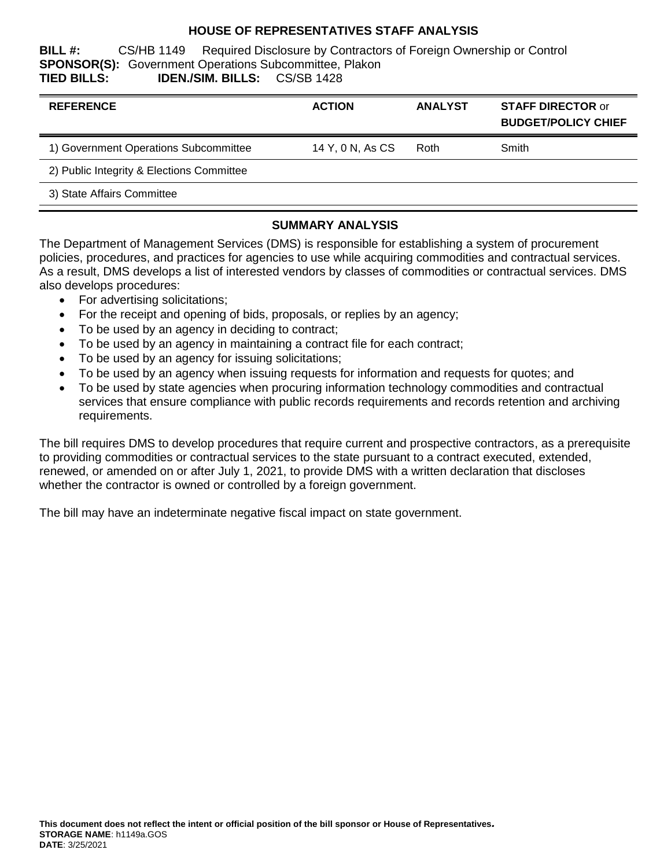## **HOUSE OF REPRESENTATIVES STAFF ANALYSIS**

**BILL #:** CS/HB 1149 Required Disclosure by Contractors of Foreign Ownership or Control **SPONSOR(S):** Government Operations Subcommittee, Plakon **TIED BILLS: IDEN./SIM. BILLS:** CS/SB 1428

| <b>REFERENCE</b>                          | <b>ACTION</b>    | <b>ANALYST</b> | <b>STAFF DIRECTOR or</b><br><b>BUDGET/POLICY CHIEF</b> |
|-------------------------------------------|------------------|----------------|--------------------------------------------------------|
| 1) Government Operations Subcommittee     | 14 Y, 0 N, As CS | Roth           | Smith                                                  |
| 2) Public Integrity & Elections Committee |                  |                |                                                        |
| 3) State Affairs Committee                |                  |                |                                                        |

## **SUMMARY ANALYSIS**

The Department of Management Services (DMS) is responsible for establishing a system of procurement policies, procedures, and practices for agencies to use while acquiring commodities and contractual services. As a result, DMS develops a list of interested vendors by classes of commodities or contractual services. DMS also develops procedures:

- For advertising solicitations;
- For the receipt and opening of bids, proposals, or replies by an agency;
- To be used by an agency in deciding to contract;
- To be used by an agency in maintaining a contract file for each contract;
- To be used by an agency for issuing solicitations;
- To be used by an agency when issuing requests for information and requests for quotes; and
- To be used by state agencies when procuring information technology commodities and contractual services that ensure compliance with public records requirements and records retention and archiving requirements.

The bill requires DMS to develop procedures that require current and prospective contractors, as a prerequisite to providing commodities or contractual services to the state pursuant to a contract executed, extended, renewed, or amended on or after July 1, 2021, to provide DMS with a written declaration that discloses whether the contractor is owned or controlled by a foreign government.

The bill may have an indeterminate negative fiscal impact on state government.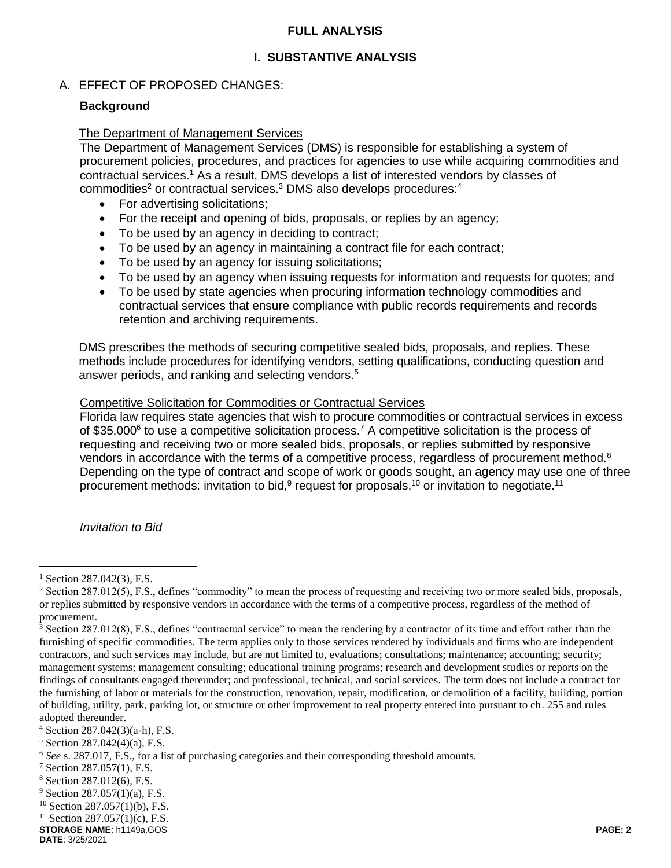## **FULL ANALYSIS**

## **I. SUBSTANTIVE ANALYSIS**

## A. EFFECT OF PROPOSED CHANGES:

#### **Background**

#### The Department of Management Services

The Department of Management Services (DMS) is responsible for establishing a system of procurement policies, procedures, and practices for agencies to use while acquiring commodities and contractual services.<sup>1</sup> As a result, DMS develops a list of interested vendors by classes of commodities<sup>2</sup> or contractual services.<sup>3</sup> DMS also develops procedures:<sup>4</sup>

- For advertising solicitations;
- For the receipt and opening of bids, proposals, or replies by an agency;
- To be used by an agency in deciding to contract;
- To be used by an agency in maintaining a contract file for each contract;
- To be used by an agency for issuing solicitations;
- To be used by an agency when issuing requests for information and requests for quotes; and
- To be used by state agencies when procuring information technology commodities and contractual services that ensure compliance with public records requirements and records retention and archiving requirements.

DMS prescribes the methods of securing competitive sealed bids, proposals, and replies. These methods include procedures for identifying vendors, setting qualifications, conducting question and answer periods, and ranking and selecting vendors.<sup>5</sup>

#### Competitive Solicitation for Commodities or Contractual Services

Florida law requires state agencies that wish to procure commodities or contractual services in excess of \$35,000 $^6$  to use a competitive solicitation process.<sup>7</sup> A competitive solicitation is the process of requesting and receiving two or more sealed bids, proposals, or replies submitted by responsive vendors in accordance with the terms of a competitive process, regardless of procurement method.<sup>8</sup> Depending on the type of contract and scope of work or goods sought, an agency may use one of three procurement methods: invitation to bid,<sup>9</sup> request for proposals,<sup>10</sup> or invitation to negotiate.<sup>11</sup>

*Invitation to Bid*

 $\overline{a}$ 

 $^{1}$  Section 287.042(3), F.S.

<sup>&</sup>lt;sup>2</sup> Section 287.012(5), F.S., defines "commodity" to mean the process of requesting and receiving two or more sealed bids, proposals, or replies submitted by responsive vendors in accordance with the terms of a competitive process, regardless of the method of procurement.

 $3$  Section 287.012(8), F.S., defines "contractual service" to mean the rendering by a contractor of its time and effort rather than the furnishing of specific commodities. The term applies only to those services rendered by individuals and firms who are independent contractors, and such services may include, but are not limited to, evaluations; consultations; maintenance; accounting; security; management systems; management consulting; educational training programs; research and development studies or reports on the findings of consultants engaged thereunder; and professional, technical, and social services. The term does not include a contract for the furnishing of labor or materials for the construction, renovation, repair, modification, or demolition of a facility, building, portion of building, utility, park, parking lot, or structure or other improvement to real property entered into pursuant to ch. 255 and rules adopted thereunder.

 $4$  Section 287.042(3)(a-h), F.S.

 $5$  Section 287.042(4)(a), F.S.

<sup>6</sup> *See* s. 287.017, F.S., for a list of purchasing categories and their corresponding threshold amounts.

<sup>7</sup> Section 287.057(1), F.S.

<sup>8</sup> Section 287.012(6), F.S.

 $9$  Section 287.057(1)(a), F.S.

<sup>10</sup> Section 287.057(1)(b), F.S.

 $11$  Section 287.057(1)(c), F.S.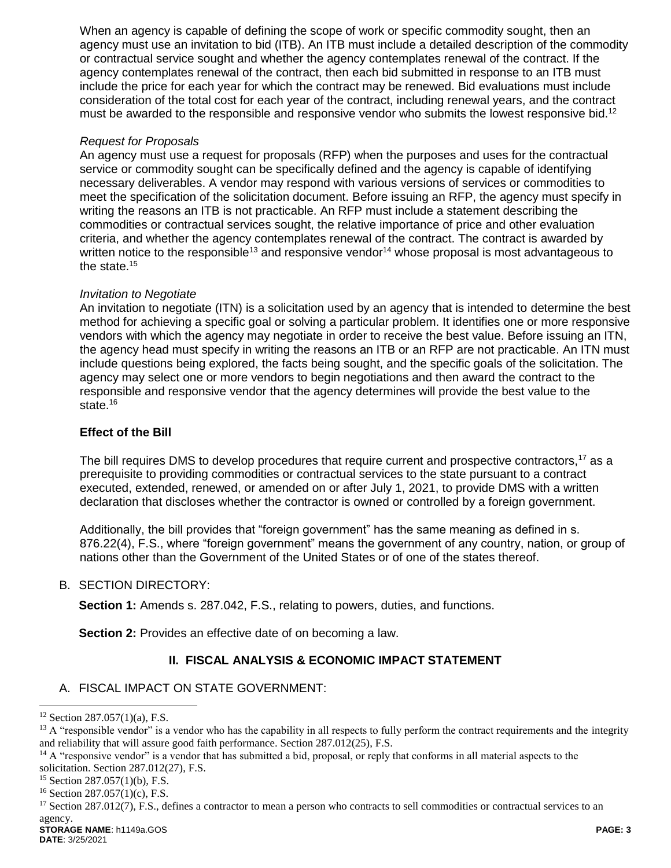When an agency is capable of defining the scope of work or specific commodity sought, then an agency must use an invitation to bid (ITB). An ITB must include a detailed description of the commodity or contractual service sought and whether the agency contemplates renewal of the contract. If the agency contemplates renewal of the contract, then each bid submitted in response to an ITB must include the price for each year for which the contract may be renewed. Bid evaluations must include consideration of the total cost for each year of the contract, including renewal years, and the contract must be awarded to the responsible and responsive vendor who submits the lowest responsive bid.<sup>12</sup>

## *Request for Proposals*

An agency must use a request for proposals (RFP) when the purposes and uses for the contractual service or commodity sought can be specifically defined and the agency is capable of identifying necessary deliverables. A vendor may respond with various versions of services or commodities to meet the specification of the solicitation document. Before issuing an RFP, the agency must specify in writing the reasons an ITB is not practicable. An RFP must include a statement describing the commodities or contractual services sought, the relative importance of price and other evaluation criteria, and whether the agency contemplates renewal of the contract. The contract is awarded by written notice to the responsible<sup>13</sup> and responsive vendor<sup>14</sup> whose proposal is most advantageous to the state.<sup>15</sup>

#### *Invitation to Negotiate*

An invitation to negotiate (ITN) is a solicitation used by an agency that is intended to determine the best method for achieving a specific goal or solving a particular problem. It identifies one or more responsive vendors with which the agency may negotiate in order to receive the best value. Before issuing an ITN, the agency head must specify in writing the reasons an ITB or an RFP are not practicable. An ITN must include questions being explored, the facts being sought, and the specific goals of the solicitation. The agency may select one or more vendors to begin negotiations and then award the contract to the responsible and responsive vendor that the agency determines will provide the best value to the state.<sup>16</sup>

## **Effect of the Bill**

The bill requires DMS to develop procedures that require current and prospective contractors,<sup>17</sup> as a prerequisite to providing commodities or contractual services to the state pursuant to a contract executed, extended, renewed, or amended on or after July 1, 2021, to provide DMS with a written declaration that discloses whether the contractor is owned or controlled by a foreign government.

Additionally, the bill provides that "foreign government" has the same meaning as defined in s. 876.22(4), F.S., where "foreign government" means the government of any country, nation, or group of nations other than the Government of the United States or of one of the states thereof.

## B. SECTION DIRECTORY:

**Section 1:** Amends s. 287.042, F.S., relating to powers, duties, and functions.

**Section 2:** Provides an effective date of on becoming a law.

## **II. FISCAL ANALYSIS & ECONOMIC IMPACT STATEMENT**

## A. FISCAL IMPACT ON STATE GOVERNMENT:

 $\overline{a}$ 

 $12$  Section 287.057(1)(a), F.S.

 $<sup>13</sup>$  A "responsible vendor" is a vendor who has the capability in all respects to fully perform the contract requirements and the integrity</sup> and reliability that will assure good faith performance. Section 287.012(25), F.S.

<sup>&</sup>lt;sup>14</sup> A "responsive vendor" is a vendor that has submitted a bid, proposal, or reply that conforms in all material aspects to the solicitation. Section 287.012(27), F.S.

 $15$  Section 287.057(1)(b), F.S.

 $16$  Section 287.057(1)(c), F.S.

<sup>&</sup>lt;sup>17</sup> Section 287.012(7), F.S., defines a contractor to mean a person who contracts to sell commodities or contractual services to an agency.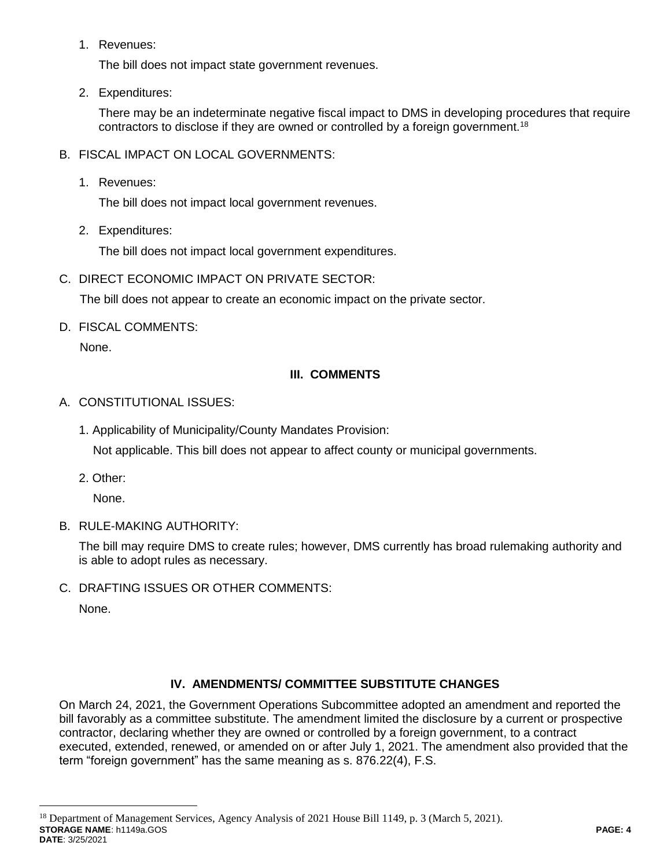1. Revenues:

The bill does not impact state government revenues.

2. Expenditures:

There may be an indeterminate negative fiscal impact to DMS in developing procedures that require contractors to disclose if they are owned or controlled by a foreign government.<sup>18</sup>

- B. FISCAL IMPACT ON LOCAL GOVERNMENTS:
	- 1. Revenues:

The bill does not impact local government revenues.

2. Expenditures:

The bill does not impact local government expenditures.

C. DIRECT ECONOMIC IMPACT ON PRIVATE SECTOR:

The bill does not appear to create an economic impact on the private sector.

D. FISCAL COMMENTS:

None.

# **III. COMMENTS**

## A. CONSTITUTIONAL ISSUES:

1. Applicability of Municipality/County Mandates Provision:

Not applicable. This bill does not appear to affect county or municipal governments.

2. Other:

None.

B. RULE-MAKING AUTHORITY:

The bill may require DMS to create rules; however, DMS currently has broad rulemaking authority and is able to adopt rules as necessary.

C. DRAFTING ISSUES OR OTHER COMMENTS:

None.

 $\overline{a}$ 

# **IV. AMENDMENTS/ COMMITTEE SUBSTITUTE CHANGES**

On March 24, 2021, the Government Operations Subcommittee adopted an amendment and reported the bill favorably as a committee substitute. The amendment limited the disclosure by a current or prospective contractor, declaring whether they are owned or controlled by a foreign government, to a contract executed, extended, renewed, or amended on or after July 1, 2021. The amendment also provided that the term "foreign government" has the same meaning as s. 876.22(4), F.S.

**STORAGE NAME**: h1149a.GOS **PAGE: 4 DATE**: 3/25/2021 <sup>18</sup> Department of Management Services, Agency Analysis of 2021 House Bill 1149, p. 3 (March 5, 2021).